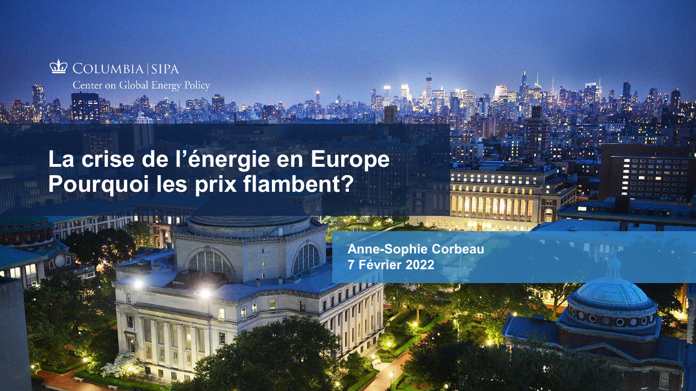

**Marie Latin L ROOM** 

**La crise de l'énergie en Europe Pourquoi les prix flambent?**

> **Anne-Sophie Corbeau 7 Février 2022**

www.energypolicy.com/2009.columbia.edu/2009.com/2009.com/2009.com/2009.com/2009.com/2009.com/2009.com/2009.com/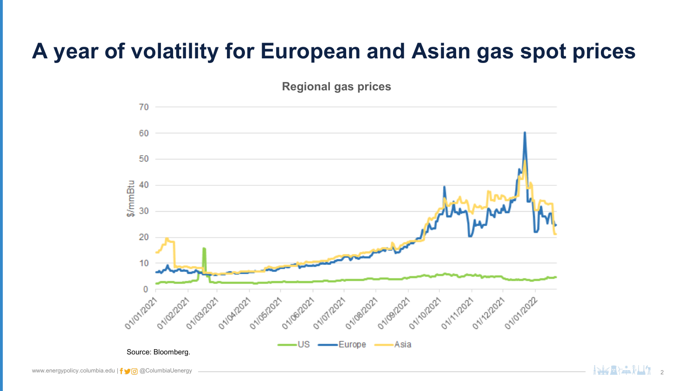## **A year of volatility for European and Asian gas spot prices**

**Regional gas prices**

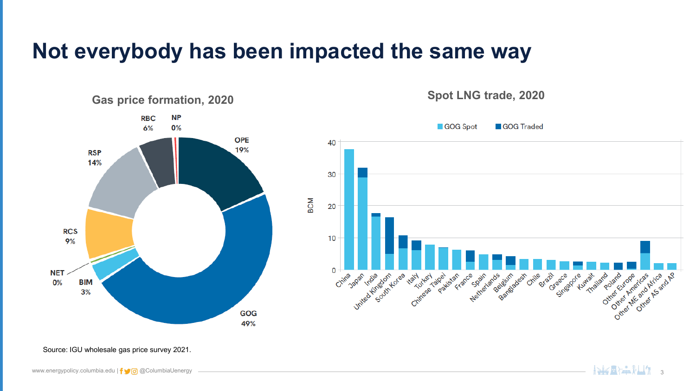#### **Not everybody has been impacted the same way**



Source: IGU wholesale gas price survey 2021.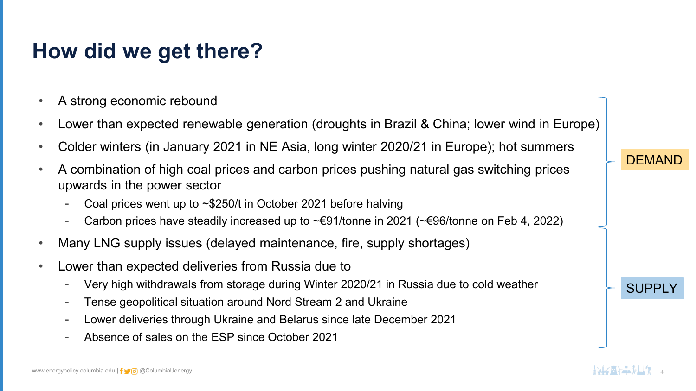## **How did we get there?**

- A strong economic rebound
- Lower than expected renewable generation (droughts in Brazil & China; lower wind in Europe)
- Colder winters (in January 2021 in NE Asia, long winter 2020/21 in Europe); hot summers
- A combination of high coal prices and carbon prices pushing natural gas switching prices upwards in the power sector
	- Coal prices went up to  $\sim$ \$250/t in October 2021 before halving
	- Carbon prices have steadily increased up to ~€91/tonne in 2021 (~€96/tonne on Feb 4, 2022)
- Many LNG supply issues (delayed maintenance, fire, supply shortages)
- Lower than expected deliveries from Russia due to
	- Very high withdrawals from storage during Winter 2020/21 in Russia due to cold weather
	- Tense geopolitical situation around Nord Stream 2 and Ukraine
	- Lower deliveries through Ukraine and Belarus since late December 2021
	- Absence of sales on the ESP since October 2021

#### **DEMAND**

#### **SUPPI**

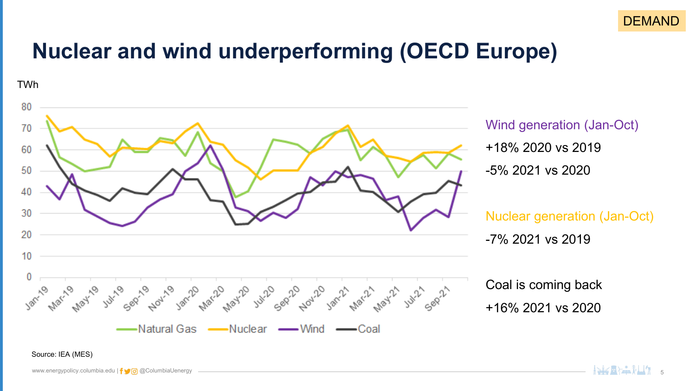

#### **Nuclear and wind underperforming (OECD Europe)**

TWh

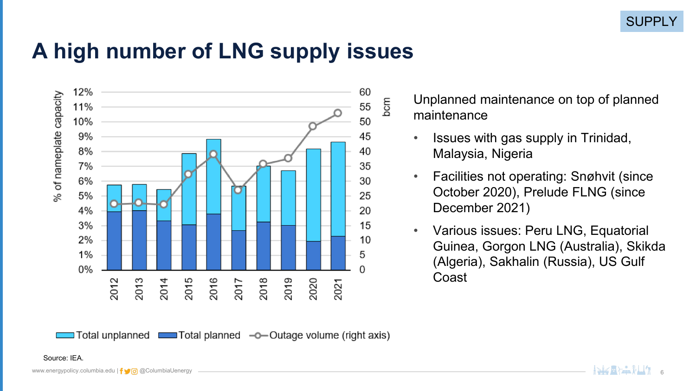#### **A high number of LNG supply issues**



Total unplanned comes Total planned -o-Outage volume (right axis)

Unplanned maintenance on top of planned maintenance

- Issues with gas supply in Trinidad, Malaysia, Nigeria
- Facilities not operating: Snøhvit (since October 2020), Prelude FLNG (since December 2021)
- Various issues: Peru LNG, Equatorial Guinea, Gorgon LNG (Australia), Skikda (Algeria), Sakhalin (Russia), US Gulf Coast

#### Source: IEA.

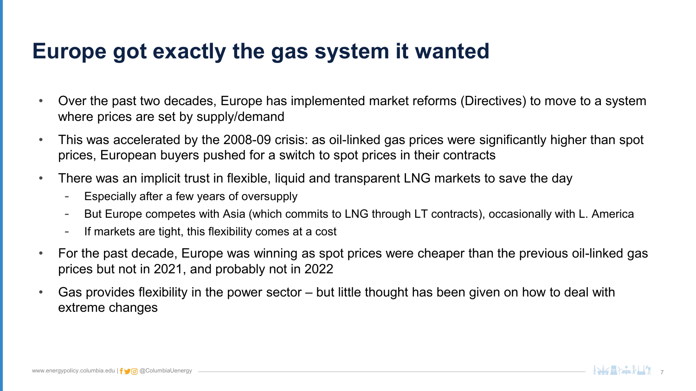#### **Europe got exactly the gas system it wanted**

- Over the past two decades, Europe has implemented market reforms (Directives) to move to a system where prices are set by supply/demand
- This was accelerated by the 2008-09 crisis: as oil-linked gas prices were significantly higher than spot prices, European buyers pushed for a switch to spot prices in their contracts
- There was an implicit trust in flexible, liquid and transparent LNG markets to save the day
	- Especially after a few years of oversupply
	- But Europe competes with Asia (which commits to LNG through LT contracts), occasionally with L. America
	- If markets are tight, this flexibility comes at a cost
- For the past decade, Europe was winning as spot prices were cheaper than the previous oil-linked gas prices but not in 2021, and probably not in 2022
- Gas provides flexibility in the power sector but little thought has been given on how to deal with extreme changes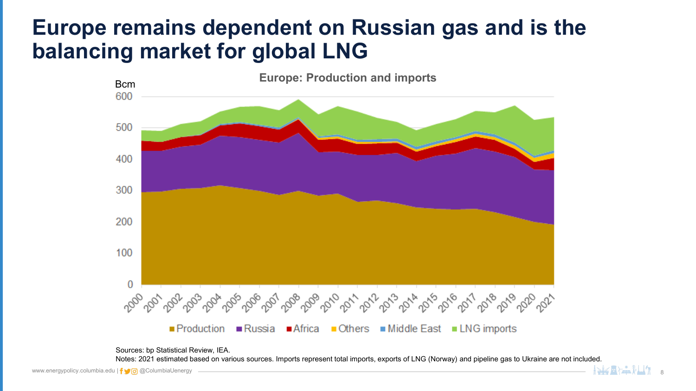#### **Europe remains dependent on Russian gas and is the balancing market for global LNG**



Sources: bp Statistical Review, IEA.

Notes: 2021 estimated based on various sources. Imports represent total imports, exports of LNG (Norway) and pipeline gas to Ukraine are not included.

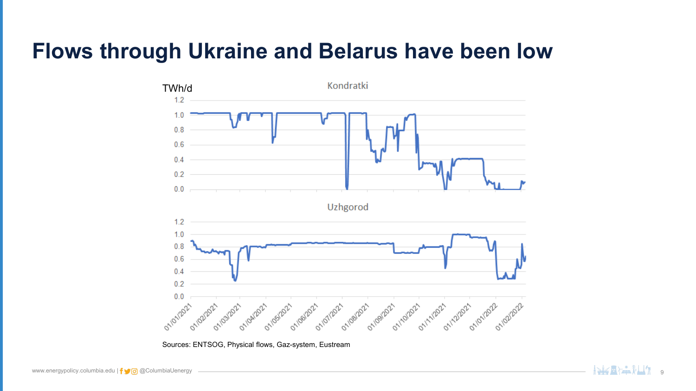#### **Flows through Ukraine and Belarus have been low**



Sources: ENTSOG, Physical flows, Gaz-system, Eustream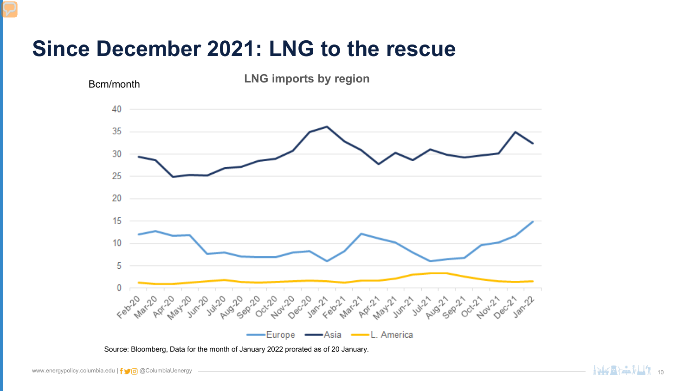#### **Since December 2021: LNG to the rescue**



Source: Bloomberg, Data for the month of January 2022 prorated as of 20 January.

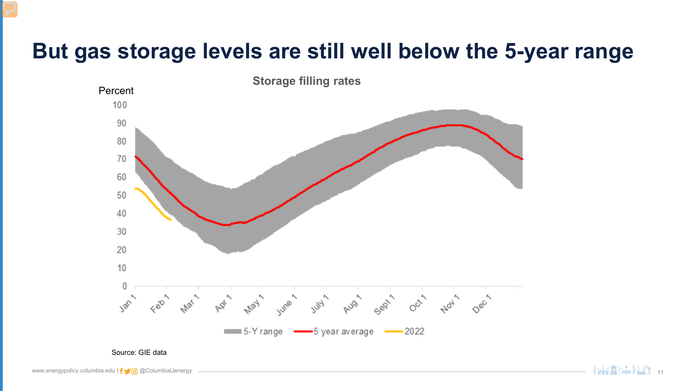#### **But gas storage levels are still well below the 5-year range**



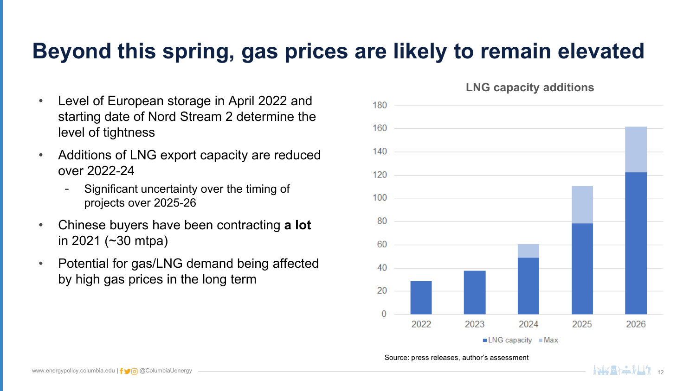## **Beyond this spring, gas prices are likely to remain elevated**

- Level of European storage in April 2022 and starting date of Nord Stream 2 determine the level of tightness
- Additions of LNG export capacity are reduced over 2022-24
	- Significant uncertainty over the timing of projects over 2025-26
- Chinese buyers have been contracting **a lot**  in 2021 (~30 mtpa)
- Potential for gas/LNG demand being affected by high gas prices in the long term



Source: press releases, author's assessment

**LNG capacity additions**

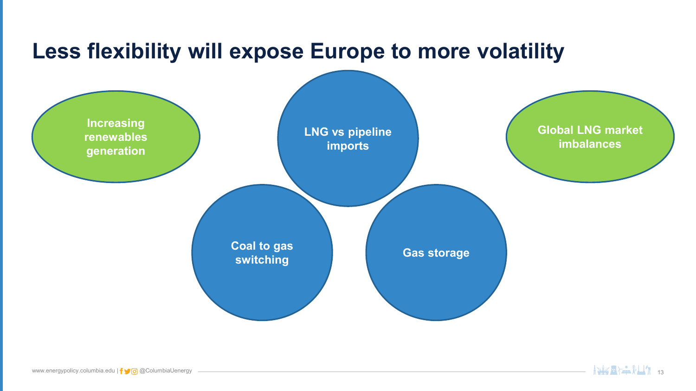# **Less flexibility will expose Europe to more volatility**



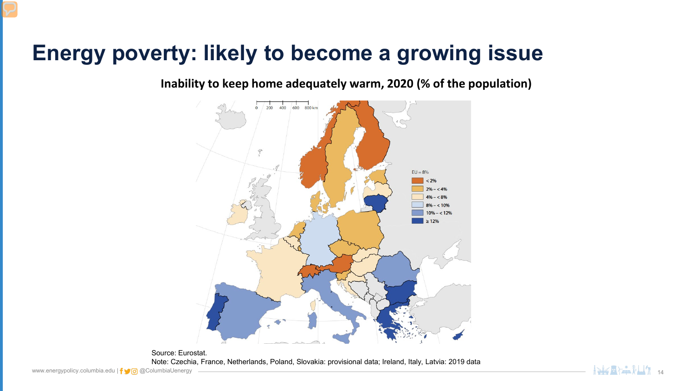## **Energy poverty: likely to become a growing issue**

**Inability to keep home adequately warm, 2020 (% of the population)**